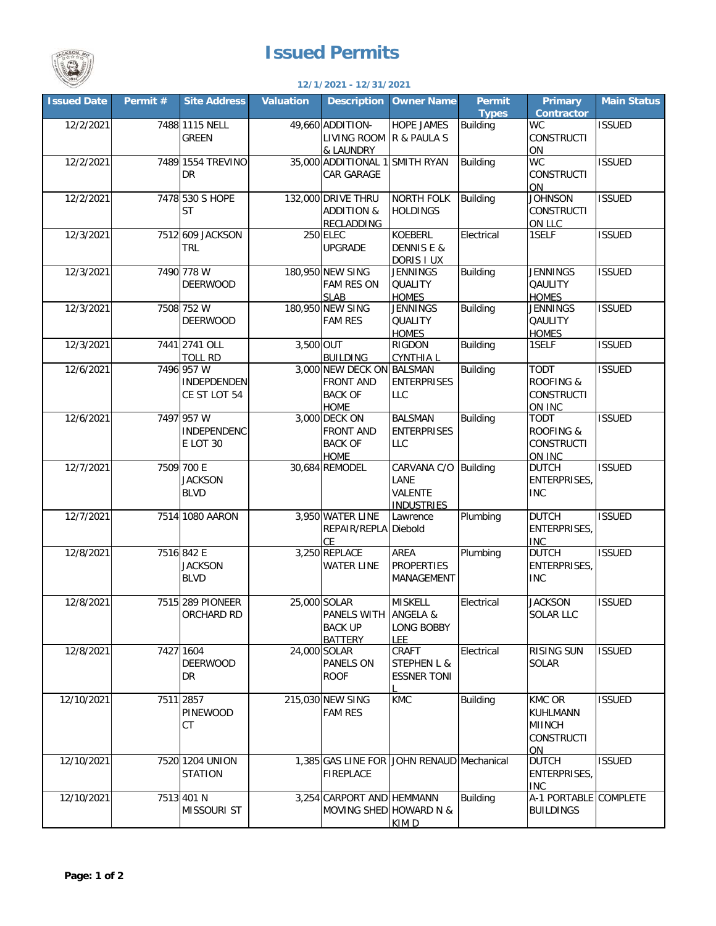

## **Issued Permits**

## **Issued Date Permit # Valuation Owner Name Permit Types Primary Contractor Main Status** 12/2/2021 - 7488 1115 NELL | 49,660 ADDITION- HOPE JAMES R & PAULA S **Building CONSTRUCTI** ON<br>WC **ISSUED** 12/2/2021 7489 35,000 SMITH RYAN Building WC ADDITIONAL 1 **CONSTRUCTI** ON ISSUED 12/2/2021 /4/8|530 S HOPE | 132,000 DRIVE THRU | NORTH FOLK HOLDINGS Building JOHNSON **CONSTRUCTL** <u>ON LLC</u><br>1SELF ISSUED 12/3/2021| 7512|609 JACKSON | 250|ELEC |KOEBERL DENNIS E & DORIS I UX<br>JENNINGS Electrical 1SELF ISSUED 12/3/2021 /490 7/8 W | 180,950 NEW SING DENNINGS **QUALITY HOMES**<br>JENNINGS Building JENNINGS **QAULITY HOMES** ISSUED 12/3/2021 7508 180,950 JENNINGS NEW SING **QUALITY HOMES**<br>RIGDON Building JENNINGS **QAULITY** HOMES<br>1SELF ISSUED 12/3/2021 7441 3,500 RIGDON CYNTHIA L Building 1SELF ISSUED 12/6/2021 7496 3,000 BALSMAN NEW DECK ON ENTERPRISES  $\overline{L}$ Building TODT ROOFING & **CONSTRUCTI** ON INC<br>TODT ISSUED 12/6/2021 7497 3,000 BALSMAN DECK ON ENTERPRISES LLC Building ROOFING & CONSTRUCTI ON INC<br>DUTCH ISSUED 12/7/2021 7509 30,684 CARVANA C/O REMODEL LANE VALENTE **INDUSTRIES** CARVANA C/O Building ENTERPRISES, INC ISSUED 12/7/2021 7514 1080 AARON 3.950 Diebold Plumbing DUTCH **ENTERPRISES** <u>INC</u><br>DUTCH ISSUED 12/8/2021 7516 3,250 AREA PROPERTIES MANAGEMENT Plumbing ENTERPRISES, INC ISSUED 12/8/2021 7515 25,000 MISKELL SOLAR ANGELA & LONG BOBBY LEE<br>CRAFT Electrical JACKSON SOLAR LLC **ISSUED** 12/8/2021 7427 24,000 CRAFT SOLAR STEPHEN L & ESSNER TONI KMC Electrical RISING SUN SOLAR ISSUED 12/10/2021 7511|2857 | 215,030|NEW SING |KMC |Building |KMC OR KUHLMANN MIINCH **CONSTRUCTI** ON<br>DUTCH ISSUED 12/10/2021| 7520|1204 UNION | 1,385|GAS LINE FOR |JOHN RENAUD|Mechanical |DUTCH **ENTERPRISES** INC ISSUED 12/10/2021| 7513|401 N | 3,254|CARPORT AND|HEMMANN MOVING SHED|HOWARD N & KIM D Building A-1 PORTABLE BUILDINGS COMPLETE 7520 1204 UNION **STATION** FIREPLACE 401 N MISSOURI ST 289 PIONEER ORCHARD RD PANELS WITH BACK UP BATTERY 1604 DEERWOOD DR PANELS ON ROOF 7511 2857 PINEWOOD CT FAM RES 700 E **JACKSON** BLVD **WATER LINE** REPAIR/REPLA **CE** 7516 842 E **JACKSON** BLVD REPLACE WATER LINE 2741 OLL TOLL RD 3,500 OUT BUILDING 957 W INDEPDENDEN CE ST LOT 54 FRONT AND BACK OF HOME 957 W INDEPENDENC E LOT 30 FRONT AND BACK OF HOME TRL ELEC UPGRADE 778 W DEERWOOD FAM RES ON SLAB 7508 752 W DEERWOOD FAM RES 7488 1115 NELL GREEN LIVING ROOM & LAUNDRY 1554 TREVINO DR CAR GARAGE 530 S HOPE **ST** ADDITION & RECLADDING **12/1/2021 - 12/31/2021 Description**